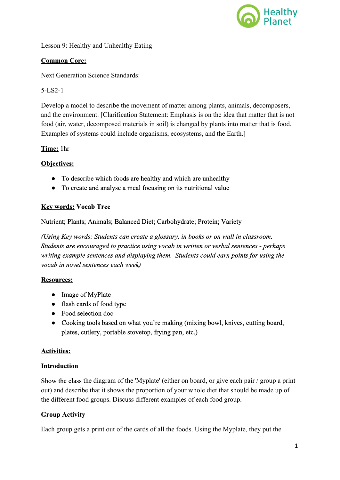

Lesson 9: Healthy and Unhealthy Eating

## **Common Core:**

Next Generation Science Standards:

5LS21

Develop a model to describe the movement of matter among plants, animals, decomposers, and the environment. [Clarification Statement: Emphasis is on the idea that matter that is not food (air, water, decomposed materials in soil) is changed by plants into matter that is food. Examples of systems could include organisms, ecosystems, and the Earth.]

### **Time:**1hr

### **Objectives:**

- To describe which foods are healthy and which are unhealthy
- To create and analyse a meal focusing on its nutritional value

### **Key words:Vocab Tree**

Nutrient; Plants; Animals; Balanced Diet; Carbohydrate; Protein; Variety

*(Using Key words: Students can create a glossary, in books or on wall in classroom. Students are encouraged to practice using vocab in written or verbal sentences perhaps writing example sentences and displaying them. Students could earn points for using the vocab in novel sentences each week)*

#### **Resources:**

- Image of MyPlate
- flash cards of food type
- Food selection doc
- Cooking tools based on what you're making (mixing bowl, knives, cutting board, plates, cutlery, portable stovetop, frying pan, etc.)

#### **Activities:**

#### **Introduction**

Show the class the diagram of the 'Myplate' (either on board, or give each pair / group a print out) and describe that it shows the proportion of your whole diet that should be made up of the different food groups. Discuss different examples of each food group.

#### **Group Activity**

Each group gets a print out of the cards of all the foods. Using the Myplate, they put the